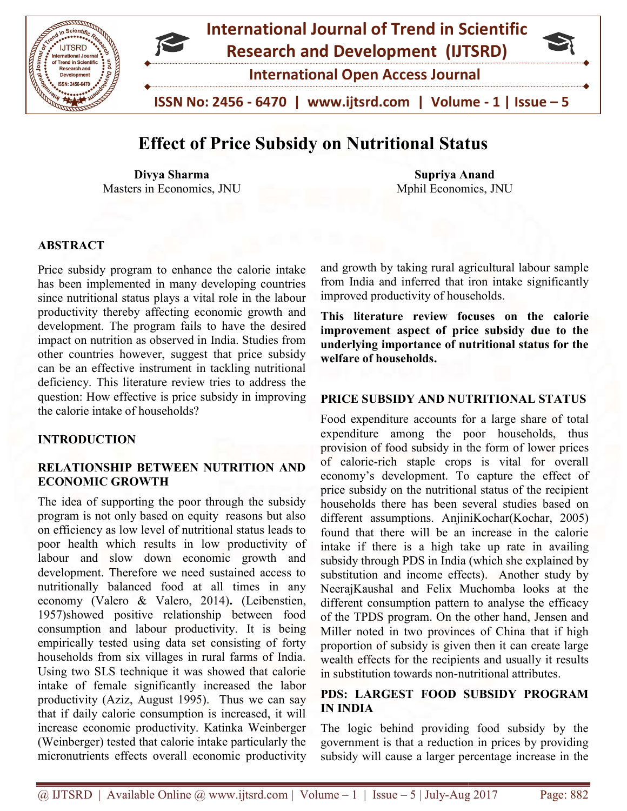

## Effect of Price Subsidy on Nutritional Status Effect of

Divya Sharma Masters in Economics, JNU

Supriya Anand Mphil Economics, Economics, JNU

#### ABSTRACT

Price subsidy program to enhance the calorie intake has been implemented in many developing countries since nutritional status plays a vital role in the labour productivity thereby affecting economic growth and development. The program fails to have the desired impact on nutrition as observed in India. Studies from other countries however, suggest that price subsidy can be an effective instrument in tackling nutritional deficiency. This literature review tries to address the question: How effective is price subsidy in improving the calorie intake of households? Price subsidy program to enhance the calorie intake has been implemented in many developing countries since nutritional status plays a vital role in the labour productivity thereby affecting economic growth and development impact on nutrition as observed in India. Studies from<br>other countries however, suggest that price subsidy<br>can be an effective instrument in tackling nutritional<br>deficiency. This literature review tries to address the

#### INTRODUCTION

#### RELATIONSHIP BETWEEN NUTRITION AND BETWEEN AND ECONOMIC GROWTH

The idea of supporting the poor through the subsidy program is not only based on equity reasons but also on efficiency as low level of nutritional status leads to poor health which results in low productivity of labour and slow down economic growth and development. Therefore we need sustained access to nutritionally balanced food at all times in any The idea of supporting the poor through the subsidy<br>program is not only based on equity reasons but also<br>on efficiency as low level of nutritional status leads to<br>poor health which results in low productivity of<br>labour and 1957)showed positive relationship between food 1957) showed positive relationship between food consumption and labour productivity. It is being empirically tested using data set consisting of forty households from six villages in rural farms of India. Using two SLS technique it was showed that calorie empirically tested using data set consisting of forty<br>households from six villages in rural farms of India.<br>Using two SLS technique it was showed that calorie<br>intake of female significantly increased the labor productivity (Aziz, August 1995). Thus we can say productivity (Aziz, August 1995). Thus we can say that if daily calorie consumption is increased, it will increase economic productivity. Katinka Weinberger (Weinberger) tested that calorie intake particularly the (Weinberger) tested that calorie intake particularly the micronutrients effects overall economic productivity

and growth by taking rural agricultural labour sample from India and inferred that iron intake significantly improved productivity of households. improved productivity of households.

This literature review focuses on the calorie improvement aspect of price subsidy due to the underlying importance of nutritional status for the welfare of households. underlying importance of nutritional status for the<br>welfare of households.<br>PRICE SUBSIDY AND NUTRITIONAL STATUS

Food expenditure accounts for a large share of total expenditure among the poor households, thus provision of food subsidy in the form of lower prices of calorie-rich staple crops is vital for overall economy's development. To capture the effect of price subsidy on the nutritional status of the recipient households there has been several studies based on different assumptions. AnjiniKochar(Kochar, 2005) found that there will be an increase in the calorie found that there will be an increase in the calorie intake if there is a high take up rate in availing subsidy through PDS in India (which she explained by substitution and income effects). Another study by NeerajKaushal and Felix Muchomba looks at the different consumption pattern to analyse the efficacy of the TPDS program. On the other hand Miller noted in two provinces of China that if high proportion of subsidy is given then it can create large wealth effects for the recipients and usually it results in substitution towards non-nutritional attributes. alorie-rich staple crops is vital for overall<br>my's development. To capture the effect of<br>subsidy on the nutritional status of the recipient<br>holds there has been several studies based on<br>ent assumptions. AnjiniKochar(Kochar Kaushal and Felix Muchomba looks at the<br>nt consumption pattern to analyse the efficacy<br>TPDS program. On the other hand, Jensen and

# PDS: LARGEST FOOD SUBSIDY PROGRAM IN INDIA in substitution towards non-nutritional attributes.<br> **PDS: LARGEST FOOD SUBSIDY PROGRAM**<br> **IN INDIA**<br>
The logic behind providing food subsidy by the<br>
government is that a reduction in prices by providing

The logic behind providing food subsidy by the subsidy will cause a larger percentage increase in the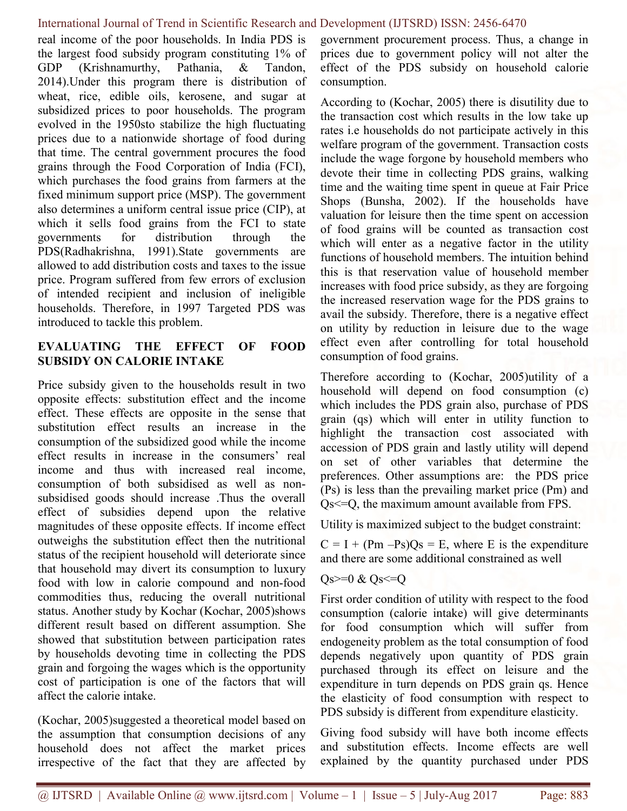real income of the poor households. In India PDS is the largest food subsidy program constituting 1% of GDP (Krishnamurthy, Pathania, & Tandon, 2014).Under this program there is distribution of wheat, rice, edible oils, kerosene, and sugar at subsidized prices to poor households. The program evolved in the 1950sto stabilize the high fluctuating prices due to a nationwide shortage of food during that time. The central government procures the food grains through the Food Corporation of India (FCI), which purchases the food grains from farmers at the fixed minimum support price (MSP). The government also determines a uniform central issue price (CIP), at which it sells food grains from the FCI to state governments for distribution through the PDS(Radhakrishna, 1991).State governments are allowed to add distribution costs and taxes to the issue price. Program suffered from few errors of exclusion of intended recipient and inclusion of ineligible households. Therefore, in 1997 Targeted PDS was introduced to tackle this problem.

#### EVALUATING THE EFFECT OF FOOD SUBSIDY ON CALORIE INTAKE

Price subsidy given to the households result in two opposite effects: substitution effect and the income effect. These effects are opposite in the sense that substitution effect results an increase in the consumption of the subsidized good while the income effect results in increase in the consumers' real income and thus with increased real income, consumption of both subsidised as well as nonsubsidised goods should increase .Thus the overall effect of subsidies depend upon the relative magnitudes of these opposite effects. If income effect outweighs the substitution effect then the nutritional status of the recipient household will deteriorate since that household may divert its consumption to luxury food with low in calorie compound and non-food commodities thus, reducing the overall nutritional status. Another study by Kochar (Kochar, 2005)shows different result based on different assumption. She showed that substitution between participation rates by households devoting time in collecting the PDS grain and forgoing the wages which is the opportunity cost of participation is one of the factors that will affect the calorie intake.

(Kochar, 2005)suggested a theoretical model based on the assumption that consumption decisions of any household does not affect the market prices irrespective of the fact that they are affected by

government procurement process. Thus, a change in prices due to government policy will not alter the effect of the PDS subsidy on household calorie consumption.

According to (Kochar, 2005) there is disutility due to the transaction cost which results in the low take up rates i.e households do not participate actively in this welfare program of the government. Transaction costs include the wage forgone by household members who devote their time in collecting PDS grains, walking time and the waiting time spent in queue at Fair Price Shops (Bunsha, 2002). If the households have valuation for leisure then the time spent on accession of food grains will be counted as transaction cost which will enter as a negative factor in the utility functions of household members. The intuition behind this is that reservation value of household member increases with food price subsidy, as they are forgoing the increased reservation wage for the PDS grains to avail the subsidy. Therefore, there is a negative effect on utility by reduction in leisure due to the wage effect even after controlling for total household consumption of food grains.

Therefore according to (Kochar, 2005)utility of a household will depend on food consumption (c) which includes the PDS grain also, purchase of PDS grain (qs) which will enter in utility function to highlight the transaction cost associated with accession of PDS grain and lastly utility will depend on set of other variables that determine the preferences. Other assumptions are: the PDS price (Ps) is less than the prevailing market price (Pm) and Qs<=Q, the maximum amount available from FPS.

Utility is maximized subject to the budget constraint:

 $C = I + (Pm - Ps)Qs = E$ , where E is the expenditure and there are some additional constrained as well

#### $Qs>=0$  &  $Qs<=Q$

First order condition of utility with respect to the food consumption (calorie intake) will give determinants for food consumption which will suffer from endogeneity problem as the total consumption of food depends negatively upon quantity of PDS grain purchased through its effect on leisure and the expenditure in turn depends on PDS grain qs. Hence the elasticity of food consumption with respect to PDS subsidy is different from expenditure elasticity.

Giving food subsidy will have both income effects and substitution effects. Income effects are well explained by the quantity purchased under PDS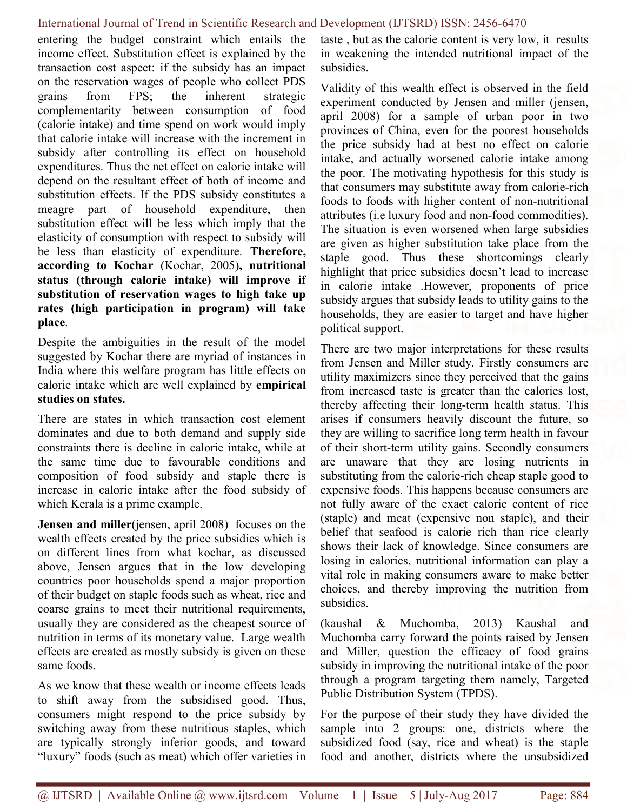entering the budget constraint which entails the income effect. Substitution effect is explained by the transaction cost aspect: if the subsidy has an impact on the reservation wages of people who collect PDS grains from FPS; the inherent strategic complementarity between consumption of food (calorie intake) and time spend on work would imply that calorie intake will increase with the increment in subsidy after controlling its effect on household expenditures. Thus the net effect on calorie intake will depend on the resultant effect of both of income and substitution effects. If the PDS subsidy constitutes a meagre part of household expenditure, then substitution effect will be less which imply that the elasticity of consumption with respect to subsidy will be less than elasticity of expenditure. Therefore, according to Kochar (Kochar, 2005), nutritional status (through calorie intake) will improve if substitution of reservation wages to high take up rates (high participation in program) will take place.

Despite the ambiguities in the result of the model suggested by Kochar there are myriad of instances in India where this welfare program has little effects on calorie intake which are well explained by empirical studies on states.

There are states in which transaction cost element dominates and due to both demand and supply side constraints there is decline in calorie intake, while at the same time due to favourable conditions and composition of food subsidy and staple there is increase in calorie intake after the food subsidy of which Kerala is a prime example.

Jensen and miller(jensen, april 2008) focuses on the wealth effects created by the price subsidies which is on different lines from what kochar, as discussed above, Jensen argues that in the low developing countries poor households spend a major proportion of their budget on staple foods such as wheat, rice and coarse grains to meet their nutritional requirements, usually they are considered as the cheapest source of nutrition in terms of its monetary value. Large wealth effects are created as mostly subsidy is given on these same foods.

As we know that these wealth or income effects leads to shift away from the subsidised good. Thus, consumers might respond to the price subsidy by switching away from these nutritious staples, which are typically strongly inferior goods, and toward "luxury" foods (such as meat) which offer varieties in taste , but as the calorie content is very low, it results in weakening the intended nutritional impact of the subsidies.

Validity of this wealth effect is observed in the field experiment conducted by Jensen and miller (jensen, april 2008) for a sample of urban poor in two provinces of China, even for the poorest households the price subsidy had at best no effect on calorie intake, and actually worsened calorie intake among the poor. The motivating hypothesis for this study is that consumers may substitute away from calorie-rich foods to foods with higher content of non-nutritional attributes (i.e luxury food and non-food commodities). The situation is even worsened when large subsidies are given as higher substitution take place from the staple good. Thus these shortcomings clearly highlight that price subsidies doesn't lead to increase in calorie intake .However, proponents of price subsidy argues that subsidy leads to utility gains to the households, they are easier to target and have higher political support.

There are two major interpretations for these results from Jensen and Miller study. Firstly consumers are utility maximizers since they perceived that the gains from increased taste is greater than the calories lost, thereby affecting their long-term health status. This arises if consumers heavily discount the future, so they are willing to sacrifice long term health in favour of their short-term utility gains. Secondly consumers are unaware that they are losing nutrients in substituting from the calorie-rich cheap staple good to expensive foods. This happens because consumers are not fully aware of the exact calorie content of rice (staple) and meat (expensive non staple), and their belief that seafood is calorie rich than rice clearly shows their lack of knowledge. Since consumers are losing in calories, nutritional information can play a vital role in making consumers aware to make better choices, and thereby improving the nutrition from subsidies.

(kaushal & Muchomba, 2013) Kaushal and Muchomba carry forward the points raised by Jensen and Miller, question the efficacy of food grains subsidy in improving the nutritional intake of the poor through a program targeting them namely, Targeted Public Distribution System (TPDS).

For the purpose of their study they have divided the sample into 2 groups: one, districts where the subsidized food (say, rice and wheat) is the staple food and another, districts where the unsubsidized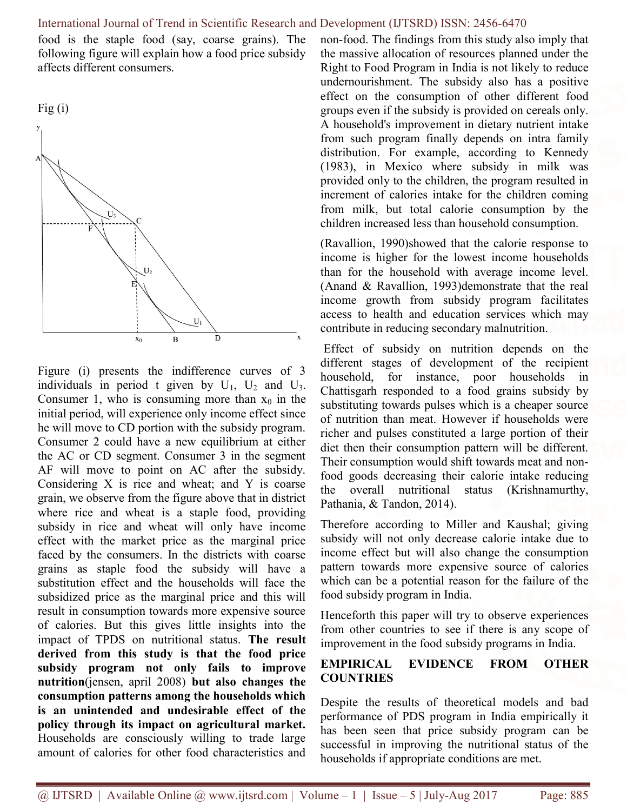food is the staple food (say, coarse grains). The following figure will explain how a food price subsidy affects different consumers.





Figure (i) presents the indifference curves of 3 individuals in period t given by  $U_1$ ,  $U_2$  and  $U_3$ . Consumer 1, who is consuming more than  $x_0$  in the initial period, will experience only income effect since he will move to CD portion with the subsidy program. Consumer 2 could have a new equilibrium at either the AC or CD segment. Consumer 3 in the segment AF will move to point on AC after the subsidy. Considering X is rice and wheat; and Y is coarse grain, we observe from the figure above that in district where rice and wheat is a staple food, providing subsidy in rice and wheat will only have income effect with the market price as the marginal price faced by the consumers. In the districts with coarse grains as staple food the subsidy will have a substitution effect and the households will face the subsidized price as the marginal price and this will result in consumption towards more expensive source of calories. But this gives little insights into the impact of TPDS on nutritional status. The result derived from this study is that the food price subsidy program not only fails to improve nutrition(jensen, april 2008) but also changes the consumption patterns among the households which is an unintended and undesirable effect of the policy through its impact on agricultural market. Households are consciously willing to trade large amount of calories for other food characteristics and non-food. The findings from this study also imply that the massive allocation of resources planned under the Right to Food Program in India is not likely to reduce undernourishment. The subsidy also has a positive effect on the consumption of other different food groups even if the subsidy is provided on cereals only. A household's improvement in dietary nutrient intake from such program finally depends on intra family distribution. For example, according to Kennedy (1983), in Mexico where subsidy in milk was provided only to the children, the program resulted in increment of calories intake for the children coming from milk, but total calorie consumption by the children increased less than household consumption.

(Ravallion, 1990)showed that the calorie response to income is higher for the lowest income households than for the household with average income level. (Anand & Ravallion, 1993)demonstrate that the real income growth from subsidy program facilitates access to health and education services which may contribute in reducing secondary malnutrition.

 Effect of subsidy on nutrition depends on the different stages of development of the recipient household, for instance, poor households in Chattisgarh responded to a food grains subsidy by substituting towards pulses which is a cheaper source of nutrition than meat. However if households were richer and pulses constituted a large portion of their diet then their consumption pattern will be different. Their consumption would shift towards meat and nonfood goods decreasing their calorie intake reducing the overall nutritional status (Krishnamurthy, Pathania, & Tandon, 2014).

Therefore according to Miller and Kaushal; giving subsidy will not only decrease calorie intake due to income effect but will also change the consumption pattern towards more expensive source of calories which can be a potential reason for the failure of the food subsidy program in India.

Henceforth this paper will try to observe experiences from other countries to see if there is any scope of improvement in the food subsidy programs in India.

#### EMPIRICAL EVIDENCE FROM OTHER **COUNTRIES**

Despite the results of theoretical models and bad performance of PDS program in India empirically it has been seen that price subsidy program can be successful in improving the nutritional status of the households if appropriate conditions are met.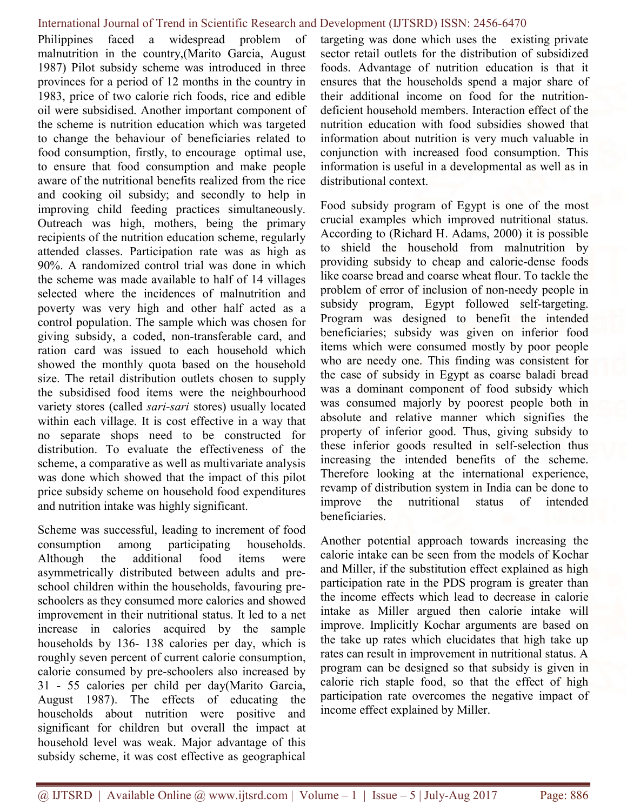Philippines faced a widespread problem of malnutrition in the country,(Marito Garcia, August 1987) Pilot subsidy scheme was introduced in three provinces for a period of 12 months in the country in 1983, price of two calorie rich foods, rice and edible oil were subsidised. Another important component of the scheme is nutrition education which was targeted to change the behaviour of beneficiaries related to food consumption, firstly, to encourage optimal use, to ensure that food consumption and make people aware of the nutritional benefits realized from the rice and cooking oil subsidy; and secondly to help in improving child feeding practices simultaneously. Outreach was high, mothers, being the primary recipients of the nutrition education scheme, regularly attended classes. Participation rate was as high as 90%. A randomized control trial was done in which the scheme was made available to half of 14 villages selected where the incidences of malnutrition and poverty was very high and other half acted as a control population. The sample which was chosen for giving subsidy, a coded, non-transferable card, and ration card was issued to each household which showed the monthly quota based on the household size. The retail distribution outlets chosen to supply the subsidised food items were the neighbourhood variety stores (called *sari-sari* stores) usually located within each village. It is cost effective in a way that no separate shops need to be constructed for distribution. To evaluate the effectiveness of the scheme, a comparative as well as multivariate analysis was done which showed that the impact of this pilot price subsidy scheme on household food expenditures and nutrition intake was highly significant.

Scheme was successful, leading to increment of food consumption among participating households. Although the additional food items were asymmetrically distributed between adults and preschool children within the households, favouring preschoolers as they consumed more calories and showed improvement in their nutritional status. It led to a net increase in calories acquired by the sample households by 136- 138 calories per day, which is roughly seven percent of current calorie consumption, calorie consumed by pre-schoolers also increased by 31 - 55 calories per child per day(Marito Garcia, August 1987). The effects of educating the households about nutrition were positive and significant for children but overall the impact at household level was weak. Major advantage of this subsidy scheme, it was cost effective as geographical targeting was done which uses the existing private sector retail outlets for the distribution of subsidized foods. Advantage of nutrition education is that it ensures that the households spend a major share of their additional income on food for the nutritiondeficient household members. Interaction effect of the nutrition education with food subsidies showed that information about nutrition is very much valuable in conjunction with increased food consumption. This information is useful in a developmental as well as in distributional context.

Food subsidy program of Egypt is one of the most crucial examples which improved nutritional status. According to (Richard H. Adams, 2000) it is possible to shield the household from malnutrition by providing subsidy to cheap and calorie-dense foods like coarse bread and coarse wheat flour. To tackle the problem of error of inclusion of non-needy people in subsidy program, Egypt followed self-targeting. Program was designed to benefit the intended beneficiaries; subsidy was given on inferior food items which were consumed mostly by poor people who are needy one. This finding was consistent for the case of subsidy in Egypt as coarse baladi bread was a dominant component of food subsidy which was consumed majorly by poorest people both in absolute and relative manner which signifies the property of inferior good. Thus, giving subsidy to these inferior goods resulted in self-selection thus increasing the intended benefits of the scheme. Therefore looking at the international experience, revamp of distribution system in India can be done to improve the nutritional status of intended beneficiaries.

Another potential approach towards increasing the calorie intake can be seen from the models of Kochar and Miller, if the substitution effect explained as high participation rate in the PDS program is greater than the income effects which lead to decrease in calorie intake as Miller argued then calorie intake will improve. Implicitly Kochar arguments are based on the take up rates which elucidates that high take up rates can result in improvement in nutritional status. A program can be designed so that subsidy is given in calorie rich staple food, so that the effect of high participation rate overcomes the negative impact of income effect explained by Miller.